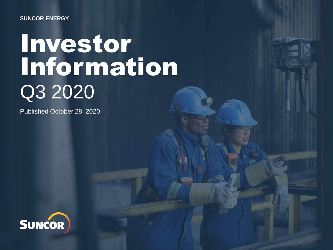### **SUNCOR ENERGY**

# Investor Information Q3 2020

Published October 28, 2020

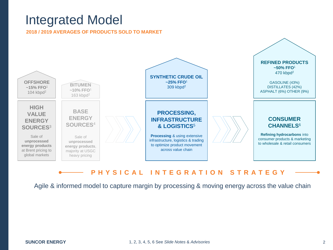## Integrated Model

**2018 / 2019 AVERAGES OF PRODUCTS SOLD TO MARKET** 



### **P H Y S I C A L I N T E G R A T I O N S T R A T E G Y**

Agile & informed model to capture margin by processing & moving energy across the value chain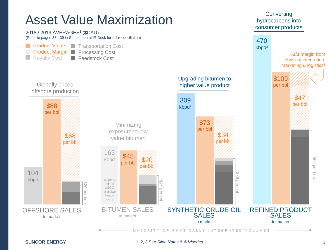# Asset Value Maximization **Converting** Converting **Asset** Value Maximization

consumer products



**SUNCOR ENERGY** 1, 2, 3 See *Slide Notes* & *Advisories* 3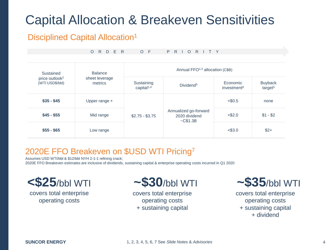# Capital Allocation & Breakeven Sensitivities

## Disciplined Capital Allocation<sup>1</sup>

|                                               | R D E R<br>$\circ$        | $O$ F                                       | P.<br>$R$  <br>R I T Y<br>$\overline{O}$            |                                     |                                       |  |  |
|-----------------------------------------------|---------------------------|---------------------------------------------|-----------------------------------------------------|-------------------------------------|---------------------------------------|--|--|
| Sustained                                     | <b>Balance</b>            | Annual FFO <sup>1,3</sup> allocation (C\$B) |                                                     |                                     |                                       |  |  |
| price outlook <sup>2</sup><br>(WTI USD\$/bbl) | sheet leverage<br>metrics | Sustaining<br>capital <sup>1,4</sup>        | Dividend <sup>5</sup>                               | Economic<br>investment <sup>6</sup> | <b>Buyback</b><br>target <sup>5</sup> |  |  |
| $$35 - $45$                                   | Upper range $+$           |                                             | Annualized go-forward<br>2020 dividend<br>$-C$1.3B$ | $<$ \$0.5                           | none                                  |  |  |
| $$45 - $55$                                   | Mid range                 | $$2.75 - $3.75$                             |                                                     | $<$ \$2.0                           | $$1 - $2$                             |  |  |
| $$55 - $65$                                   | Low range                 |                                             |                                                     | < \$3.0                             | $$2+$                                 |  |  |

## 2020E FFO Breakeven on \$USD WTI Pricing7

 Assumes USD WTI/bbl & \$12/bbl NYH 2-1-1 refining crack; 2020E FFO Breakeven estimates are inclusive of dividends, sustaining capital & enterprise operating costs incurred in Q1 2020



covers total enterprise covers total enterprise

operating costs operating costs + sustaining capital



covers total enterprise operating costs + sustaining capital + dividend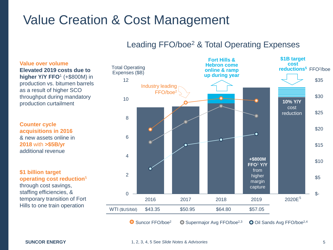# Value Creation & Cost Management

## Leading FFO/boe<sup>2</sup> & Total Operating Expenses

 throughput during mandatory **Value over volume Elevated 2019 costs due to higher Y/Y FFO<sup>1</sup> (+\$800M) in** production vs. bitumen barrels as a result of higher SCO production curtailment

 **acquisitions in 2016 Counter cycle**  & new assets online in **2018** with **>\$5B/yr**  additional revenue

 temporary transition of Fort **\$1 billion target operating cost reduction**<sup>5</sup> through cost savings, staffing efficiencies, &

Hills to one train operation

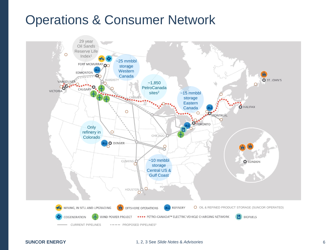# Operations & Consumer Network

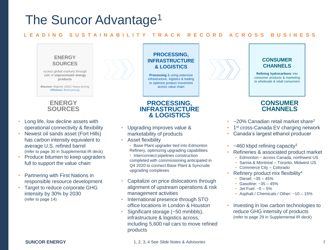# The Suncor Advantage<sup>1</sup>

### **L E A D I N G S U S T A I N A B I L I T Y T R A C K R E C O R D A C R O S S B U S I N E S S**



### **ENERGY SOURCES**

- • Long life, low decline assets with operational connectivity & flexibility
- • Newest oil sands asset (Fort Hills) has carbon intensity equivalent to (refer to page 30 in Supplemental IR deck) average U.S. refined barrel
- full to support the value chain • Produce bitumen to keep upgraders
- • Partnering with First Nations in responsible resource development
- intensity by 30% by 2030 (refer to page 14) Target to reduce corporate GHG

### **PROCESSING, INFRASTRUCTURE & LOGISTICS**

 to optimize product movement **Processing** & using extensive infrastructure, logistics & trading across value chain

### **PROCESSING, INFRASTRUCTURE & LOGISTICS**

- • Upgrading improves value & marketability of products
- Asset flexibility
	- • Base Plant upgrader tied into Edmonton Refinery, optimizing upgrading capabilities • Interconnect pipelines construction completed with commissioning anticipated in Q4 2020 to connect Base Plant & Syncrude upgrading complexes
- • Capitalize on price dislocations through alignment of upstream operations & risk management activities
- • International presence through STO office locations in London & Houston
- including 5,600 rail cars to move refined • Significant storage (~50 mmbbls), infrastructure & logistics across. products



#### **CONSUMER CHANNELS**

**Refining hydrocarbons** into consumer products & marketing to wholesale & retail consumers

### **CONSUMER CHANNELS**

- $\sim$  20% Canadian retail market share<sup>2</sup>
- 1<sup>st</sup> cross-Canada EV charging network
- Canada's largest ethanol producer
- $\sim$ 460 kbpd refining capacity<sup>3</sup>
- Refineries & associated product market
	- Edmonton across Canada, northwest US
	- Sarnia & Montreal Toronto, Midwest US
	- Commerce City Colorado
- Refinery product mix flexibility4
	- Diesel: ~35 45%
	- Gasoline: ~35 45%
	- Jet Fuel:  $-0 5%$
	- Asphalt / Chemicals / Other: ~10 15%
- • Investing in low carbon technologies to reduce GHG intensity of products (refer to page 29 in Supplemental IR deck)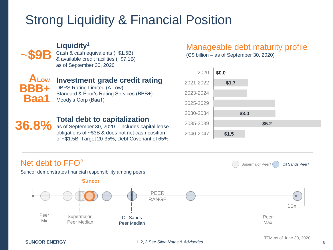# Strong Liquidity & Financial Position



## **Liquidity1**

Cash & cash equivalents (~\$1.5B) & available credit facilities (~\$7.1B) as of September 30, 2020



## **Investment grade credit rating**

DBRS Rating Limited (A Low) Standard & Poor's Rating Services (BBB+) Moody's Corp (Baa1)

## **36.8%**

### **Total debt to capitalization**

as of September 30, 2020 – includes capital lease obligations of ~\$3B & does not net cash position of ~\$1.5B. Target 20-35%; Debt Covenant of 65%

## Manageable debt maturity profile<sup>1</sup>

(C\$ billion – as of September 30, 2020)



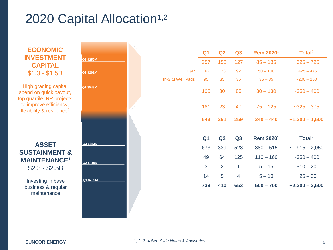# 2020 Capital Allocation<sup>1,2</sup>

**ECONOMIC INVESTMENT CAPITAL**  \$1.3 - \$1.5B

High grading capital spend on quick payout, top quartile IRR projects to improve efficiency, flexibility  $&$  resilience<sup>3</sup>

### **ASSET SUSTAINMENT & MAINTENANCE**<sup>1</sup> \$2.3 - \$2.5B

Investing in base business & regular maintenance

|           |                          | Q <sub>1</sub> | Q <sub>2</sub> | Q3                       | Rem 2020 <sup>1</sup> | Total <sup>2</sup> |
|-----------|--------------------------|----------------|----------------|--------------------------|-----------------------|--------------------|
| Q3 \$259M |                          | 257            | 158            | 127                      | $85 - 185$            | $-625 - 725$       |
|           | E&P                      | 162            | 123            | 92                       | $50 - 100$            | $-425 - 475$       |
| Q2 \$261M | <b>In-Situ Well Pads</b> | 95             | 35             | 35                       | $35 - 85$             | $-200 - 250$       |
| Q1 \$543M |                          | 105            | 80             | 85                       | $80 - 130$            | $-350 - 400$       |
|           |                          | 181            | 23             | 47                       | $75 - 125$            | $-325 - 375$       |
|           |                          | 543            | 261            | 259                      | $240 - 440$           | $-1,300 - 1,500$   |
|           |                          | Q <sub>1</sub> | Q2             | Q3                       | Rem 2020 <sup>1</sup> | Total <sup>2</sup> |
| Q3 \$653M |                          | 673            | 339            | 523                      | $380 - 515$           | $-1,915 - 2,050$   |
|           |                          | 49             | 64             | 125                      | $110 - 160$           | $-350 - 400$       |
| Q2 \$410M |                          | 3              | $\overline{2}$ | $\mathbf{1}$             | $5 - 15$              | $~10 - 20$         |
|           |                          |                |                |                          |                       |                    |
| Q1 \$739M |                          | 14             | $\overline{5}$ | $\overline{\mathcal{A}}$ | $5 - 10$              | $-25 - 30$         |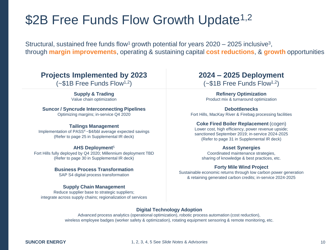# \$2B Free Funds Flow Growth Update<sup>1,2</sup>

Structural, sustained free funds flow<sup>1</sup> growth potential for years  $2020 - 2025$  inclusive<sup>3</sup>, through **margin improvements**, operating & sustaining capital **cost reductions**, & **growth** opportunities

## **Projects Implemented by 2023**

 $(-\$1B$  Free Funds Flow<sup>1,2</sup>)

#### **Supply & Trading**  Value chain optimization

### **Suncor / Syncrude Interconnecting Pipelines**

Optimizing margins; in-service Q4 2020

### **Tailings Management**

 Implementation of PASS4 ~\$4/bbl average expected savings (Refer to page 25 in Supplemental IR deck)

### **AHS Deployment**<sup>5</sup>

 Fort Hills fully deployed by Q4 2020; Millennium deployment TBD (Refer to page 30 in Supplemental IR deck)

### **Business Process Transformation**

SAP S4 digital process transformation

### **Supply Chain Management**

 Reduce supplier base to strategic suppliers; integrate across supply chains; regionalization of services

## **2024 – 2025 Deployment**

 $(-\$1B$  Free Funds Flow<sup>1,2</sup>)

**Refinery Optimization**  Product mix & turnaround optimization

#### **Debottlenecks**

Fort Hills, MacKay River & Firebag processing facilities

### **Coke Fired Boiler Replacement** (cogen)

 (Refer to page 31 in Supplemental IR deck) Lower cost, high efficiency, power revenue upside; sanctioned September 2019; in-service 2024-2025

### **Asset Synergies**

Coordinated maintenance strategies, sharing of knowledge & best practices, etc.

### **Forty Mile Wind Project**

 Sustainable economic returns through low carbon power generation & retaining generated carbon credits; in-service 2024-2025

### **Digital Technology Adoption**

 Advanced process analytics (operational optimization), robotic process automation (cost reduction), wireless employee badges (worker safety & optimization), rotating equipment sensoring & remote monitoring, etc.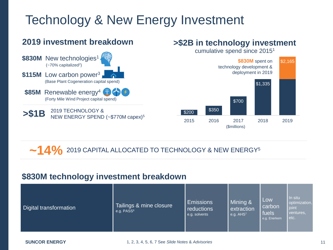# Technology & New Energy Investment

## **2019 investment breakdown**



## **>\$2B in technology investment**

cumulative spend since 20151



 $\sim$  14% 2019 CAPITAL ALLOCATED TO TECHNOLOGY & NEW ENERGY<sup>5</sup>

### **\$830M technology investment breakdown**

| Digital transformation | Tailings & mine closure<br>e.g. PASS <sup>6</sup> | <b>Emissions</b><br><b>reductions</b><br>e.g. solvents | Mining &<br>extraction<br>e.g. AHS <sup>7</sup> | Low<br>carbon<br><b>fuels</b><br>e.g. Enerkem | In situ<br>optimization,<br>joint<br>ventures.<br>etc. |
|------------------------|---------------------------------------------------|--------------------------------------------------------|-------------------------------------------------|-----------------------------------------------|--------------------------------------------------------|
|------------------------|---------------------------------------------------|--------------------------------------------------------|-------------------------------------------------|-----------------------------------------------|--------------------------------------------------------|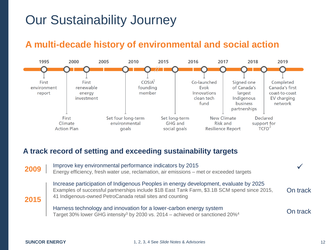# Our Sustainability Journey

## **A multi-decade history of environmental and social action**



### **A track record of setting and exceeding sustainability targets**

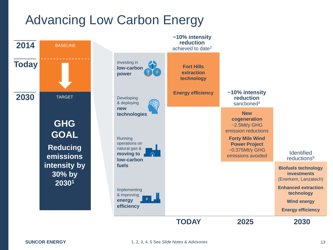# Advancing Low Carbon Energy

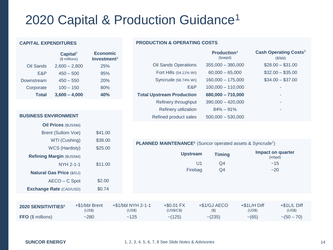# 2020 Capital & Production Guidance1

#### **CAPITAL EXPENDITURES**

|              | Capital <sup>2</sup><br>(\$ millions) | <b>Economic</b><br>Investment $3$ |
|--------------|---------------------------------------|-----------------------------------|
| Oil Sands    | $2,600 - 2,800$                       | 25%                               |
| E&P          | $450 - 500$                           | 95%                               |
| Downstream   | $450 - 550$                           | 20%                               |
| Corporate    | $100 - 150$                           | 80%                               |
| <b>Total</b> | $3,600 - 4,000$                       | 40%                               |

### **PRODUCTION & OPERATING COSTS**

|                                  | Production <sup>4</sup><br>(boepd) | <b>Cash Operating Costs<sup>5</sup></b><br>(\$/bbl) |
|----------------------------------|------------------------------------|-----------------------------------------------------|
| <b>Oil Sands Operations</b>      | $355,000 - 380,000$                | $$28.00 - $31.00$                                   |
| Fort Hills (54.11% WI)           | $60,000 - 65,000$                  | $$32.00 - $35.00$                                   |
| Syncrude (58.74% WI)             | $160,000 - 175,000$                | $$34.00 - $37.00$                                   |
| E&P                              | $100,000 - 110,000$                | ٠                                                   |
| <b>Total Upstream Production</b> | 680,000 - 710,000                  | ٠                                                   |
| Refinery throughput              | $390,000 - 420,000$                | ٠                                                   |
| Refinery utilization             | $84\% - 91\%$                      | ٠                                                   |
| Refined product sales            | $500,000 - 530,000$                |                                                     |
|                                  |                                    |                                                     |

#### **BUSINESS ENVIRONMENT**

| <b>Oil Prices (\$US/bbl)</b>     |         |
|----------------------------------|---------|
| <b>Brent (Sullom Voe)</b>        | \$41.00 |
| WTI (Cushing)                    | \$38.00 |
| <b>WCS (Hardisty)</b>            | \$25.00 |
| Refining Margin (\$US/bbl)       |         |
| NYH 2-1-1                        | \$11.00 |
| <b>Natural Gas Price (\$/GJ)</b> |         |
| AECO - C Spot                    | \$2.00  |
| <b>Exchange Rate (CAD/USD)</b>   | \$0.74  |

#### **PLANNED MAINTENANCE**<sup>6</sup> (Suncor operated assets & Syncrude<sup>7</sup>)

| <b>Upstream</b> | <b>Timing</b>  | Impact on quarter<br>(mbpd) |
|-----------------|----------------|-----------------------------|
| U <sub>1</sub>  | Q4             | ~15                         |
| Firebag         | Q <sub>4</sub> | ~20                         |
|                 |                |                             |
|                 |                |                             |
|                 |                |                             |

| 2020 SENSITIVITIES <sup>8</sup> | +\$1/bbl Brent<br>(US\$) | +\$1/bbl NYH 2-1-1<br>(US\$) | $+$ \$0.01 FX<br>(USS/CS) | +\$1/GJ AECO | $+$1L/H$ Diff<br>(USS) | $+$1L/L$ Diff<br>(USS) |
|---------------------------------|--------------------------|------------------------------|---------------------------|--------------|------------------------|------------------------|
| <b>FFO</b> (\$ millions)        | $-280$                   | ~125                         | $\sim$ (125)              | $\sim$ (235) | $\sim (65)$            | $\sim (50 - 70)$       |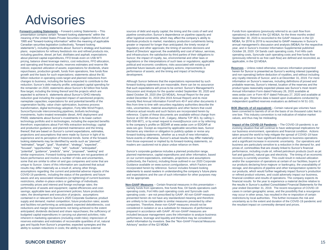## Advisories

meaning of the United States Private Securities Litigation Reform Act of other logistical constraints, which may affect the company's ability to September 30, 2020 is reconciled to the GAAP measure in the Q3 1995 and "forward-looking information" within the meaning of applicable<br>Canadian securities legislation (collectively, "forward-looking about planned capital expenditures, FFO break-even on US\$ WTI and operating and financial results; reserves estimates and reserve life political and economic conditions; risks associated with existing and indices; expected utilization of assets; expectations for dividends, share potential future lawsuits and regulatory actions; improvements in **Reserves** – Unless noted otherwise, reserves information presented repurchases, production growth, funds from operations, free funds flow performance of assets; and the timing and impact of technology herein for Suncor is presented as Suncor's working interest (operating growth and the basis for such expectations; statements about the \$1 billion reduction in operating costs target and planned reductions from any row content of the costs of Suncor, and is at December 31, 2019. For more changes to business, including the factors expected to contribute to the Although Suncor believes that the expectations represented by such information on Suncor's reserves, including definitions of proved and reduction; Suncor's debt maturity profile; anticipated capital spending for forward-looking statements are reasonable, there can be no assurance probable reserves, Suncor's interest, location of the reserves and the the remainder on 2020; statements about Suncor's \$2 billion free funds flow target, including the timing thereof and the projects which are expected to achieve it; statements about Suncor's GHG intensity reduction goal including the expected impact of sanctioned projects; cogeneration facility, value chain optimization, business process transformation, digital technology adoption, Forty Mile Wind Project, investments, hydro treated renewable diesel, AHS deployment and technology portfolio and in technologies, including the expected benefits<br>therefrom; expectations about Fort Hills extraction technology; capital and production guidance; and planned maintenance and the timing projections and assumptions that were made by Suncor in light of its looking statements may be identified by words such as "planned", "estimated", "target", "goal", "illustrative", "strategy", "expected", "potential", "guidance", "predicts", "aims", "proposed", "seeking" and future performance and involve a number of risks and uncertainties. some that are similar to other oil and gas companies and some that are unique to Suncor. Users of this information are cautioned that actual results may differ materially as a result of, among other things, assumptions regarding: the current and potential adverse impacts of the COVID-19 pandemic, including the status of the pandemic and future waves and any associated relaxations (or tightening) of current business not be appropriate. The company expects its company expects its and results of operations. The company expects its commodity prices and interest and foreign exchange rates: the performance of assets and equipment; capital efficiencies and costsavings; applicable laws and government policies; future production rates; the development and execution of projects; assumptions contained in or relevant to Suncor's 2020 Corporate Guidance; product ability to sustain reductions in costs; the ability to access external 1995 and "forward-looking information" within the meaning of applicable distribute products to market; mandatory production curtailments being MD&A, for 2016 to 2019 is reconciled to GAAP measures in Suncor's including gasoline, diesel, jet fuel, distillates and asphalt; expectations and infrastructure; the satisfaction by third parties of their obligations to operating costs, Syncrude cash operating costs and free funds flow the remainder on 2020; statements about Suncor's \$2 billion free funds that such expectations will prove to be correct. Suncor's Management's product types reasonably expected please see Suncor's most recent flow target, including the timing thereof and the projects which are **Discussion and Analysis for the quarter ended September 30, 2020 and** Annual Information Form dated February 26, 2020 available at nameplate capacities; expectations for and potential benefits of the recently filed Annual Information Form/Form 40-F and other documents it independent qualified reserves evaluators as defined in NI 51-101. cogeneration facility, value chain optimization, business process files from time to time with securities regulatory authorities describe the Suncor/Syncrude interconnecting pipelines, biofuels technology influence actual results and such factors are incorporated herein by been converted to barrels of oil on the basis of six thousand cubic feet to PASS; statements about Suncor's investments in its lower-carbon Suncor at 150 6th Avenue S.W., Calgary, Alberta T2P 3E3, by calling 1- values, and thus may be misleading. technology portfolio and in technologies, including the expected benefits 800-558-9071, or by email request to invest@suncor.com or by referring some that are similar to other oil and gas companies and some that are (collectively, the Factors), including those outlined in our 2020 Corporate and/or the suspension of operations at certain of our facilities, buyers of assumptions regarding: the current and potential adverse impacts of the statements to assist readers in understanding the company's future plans our products, which would further negatively impact Suncor's production COVID-19 pandemic, including the status of the pandemic and future and expectations and the use of such information for other purposes may or refined product volumes, and could adversely impact our business, budgeted capital expenditures in carrying out planned activities; risks included because management uses the information to analyze business reserves estimates and estimates of recoverable quantities of oil, natural useful information by investors. See the "Non-GAAP Financial Measures Canadian securities legislation (collectively, "forward-looking and the respective greater or imposed for longer than anticipated; the timely receipt of annual management's discussion and analysis (MD&A) for the respective about planned capital expenditures, FFO break-even on US\$ WTI Suncor; the impact of royalty, tax, environmental and other laws or (previously referred to as free cash flow) are defined and reconciled, as growth and the basis for such expectations; statements about the \$1 development. development development and non-operating) before deduction of royalties, and without including expected to achieve it; statements about Suncor's GHG intensity dated October 28, 2020 (the Q3 MD&A), Annual Report for the year www.sedar.com or Form 40-F dated February 27, 2020 and available at projections and assumptions that were made by Suncor in light of its forward-looking statements, whether as a result of new information, taken around the world to help mitigate the spread of COVID-19 have looking statements may be identified by words such as "planned", excluding the may be the may be identified by words such as "planned", excluding the may be identified by words such as "planned", excluding the may be ident "estimated", "target", "goal", "illustrative", "strategy", "expected", expected", readers are cautioned not to place undue reliance on them. business are particularly sensitive to a reduction in the demand for, and "potential", "guidance", "predicts", "aims", "proposed", "seeking" and Suncor's corporate guidance includes a planned production range, performance, including crude oil, refined petroleum products (such as jet similar expressions. Forward-looking statements are not guarantees of planned maintenance, capital expenditures and other information, based fuel and gasoline), natural gas and electricity. The timing of an economic future performance and involve a number of risks and uncertainties, exertainties on our current expectations, estimates, projections and assumptions recovery is currently uncertain. This could result in reduced utilization unique to Suncor. Users of this information are cautioned that actual Guidance available on www.suncor.com/guidance, which Factors are our products declaring force majeure or bankruptcy, the unavailability of results may differ materially as a result of, among other things, incorporated herein by reference. Suncor includes forward-looking storage, and disruptions of pipeline and other transportation systems for restrictions, shelter-in-place orders or gatherings of individuals; **financial results for the year to experience a material decline relative to**  $\mathbf{r}$  financial results for the year to experience a material decline rel **Forward-Looking Statements** – Forward-Looking Statements – This sources of debt and equity capital; the timing and the costs of well and Funds from operations (previously referred to as cash flow from presentation contains certain "forward-looking statements" within the pipeline construction; Suncor's dependence on pipeline capacity and statements"), including statements about: Suncor's strategy and business regulatory and other approvals; the timing of sanction decisions and year, and in Suncor's Investor Information Supplemental published plans; expectations for refinery feedstock mix and refined products mix, Board of Directors' approval; the availability and cost of labour, services, including qasoline, diesel, jet fuel, distillates and asphalt; expectati pricing, balance sheet leverage metrics, cost reductions, FFO allocation, thereof; that are based on Suncor's current expectations, estimates, disclaims any intention or obligation to publicly update or revise any our business environment, operations and financial condition. Actions experience and its perception of historical trends. Some of the forward-"focused", "opportunities", "may", "will", "outlook", "anticipated", prices of, commodities that are closely linked to Suncor's financial and facilities not performing as anticipated; expected debottlenecks, cost companies. Therefore, these non-GAAP measures should not be the resultant impact on commodity demand and prices. reductions and margin improvements not being achieved to the extent anticipated; dividends declared and share repurchases; the sufficiency of inherent in marketing operations (including credit risks); imprecision of performance, leverage and liquidity and therefore may be considered gas and liquids from Suncor's properties; expected synergies and the

other logistical constraints, which may affect the company's ability to greater or imposed for longer than anticipated; the timely receipt of<br>requlatory and other approvals; the timing of sanction decisions and Suncor; the impact of royalty, tax, environmental and other laws or regulations or the interpretations of such laws or regulations; applicable political and economic conditions; risks associated with existing and potential future lawsuits and regulatory actions; improvements in<br>performance of assets; and the timing and impact of technology

dated October 28, 2020 (the Q3 MD&A), Annual Report for the year<br>ended December 31, 2019 (the 2019 Annual Report) and its most to the company's profile on SEDAR at www.sedar.com or EDGAR at disclaims any intention or obligation to publicly update or revise any forward-looking statements, whether as a result of new information. future events or otherwise. Suncor's actual results may differ materially from those expressed or implied by its forward-looking statements, so risks, uncertainties, material assumptions and other factors that could reference. Copies of these documents are available without charge from www.sec.gov. Except as required by applicable securities laws, Suncor

Guidance available on www.suncor.com/quidance, which Factors are incorporated herein by reference. Suncor includes forward-looking

supply and demand; market competition; future production rates; assets are unlikely to be comparable to similar measures presented by other uncertainty as to the extent and duration of the COVID-19 pandemic and operating costs, Fort Hills cash operating costs and Syncrude cash contained in or relevant to Suncor's 2020 Corporate Guidance; product presented herein do not have any standardized meaning and therefore restrictions by local authorities. This further increases the risk and are unlikely to be comparable to similar measures presented by other companies. Therefore, these non-GAAP measures should not be considered in isolation or as a substitute for measures of performance<br>prepared in accordance with GAAP. All non-GAAP measures are Advisory" section of the Q3 MD&A savings; applicable laws and government policies; future production operating costs, Fort Hills cash operating costs and Syncrude cash cash cases in certain geographic areas, and the possibility that a resurgence Non-GAAP Measures – Certain financial measures in this presentation – namely funds from operations, free funds flow, Oil Sands operations cash operating costs – are not prescribed by GAAP. All non-GAAP measures

operations) is defined in the Q2 MD&A, for the three months ended September 30, 2020 is reconciled to the GAAP measure in the Q3 MD&A, for 2016 to 2019 is reconciled to GAAP measures in Suncor's October 28, 2020. Oil Sands cash operating costs. Fort Hills cash operating costs, Syncrude cash operating costs and free funds flow applicable, in the Q3 MD&A.

Reserves - Unless noted otherwise, reserves information presented<br>herein for Suncor is presented as Suncor's working interest (operating any royalty interests of Suncor, and is at December 31, 2019. For more information on Suncor's reserves, including definitions of proved and probable reserves. Suncor's interest, location of the reserves and the product types reasonably expected please see Suncor's most recent Annual Information Form dated February 26, 2020 available at www.sec.gov. Reserves data is based upon evaluations conducted by

**BOE (Barrels of oil equivalent)** - Certain natural gas volumes have been converted to barrels of oil on the basis of six thousand cubic feet to one boe. This industry convention is not indicative of relative market

evolving situation that will continue to have widespread implications for and will continue to have significant disruption to business operations and/or the suspension of operations at certain of our facilities, buyers of our products, which would further negatively impact Suncor's production or refined product volumes, and could adversely impact our business, financial condition and results of operations. The company expects its the results in Suncor's audited Consolidated Financial Statements for the year ended December 31, 2019. The recent resurgence of COVID-19 may occur in other areas, has resulted in the re-imposition of certain<br>restrictions by local authorities. This further increases the risk and uncertainty as to the extent and duration of the COVID-19 pandemic and Impact of the COVID-19 Pandemic – The COVID-19 pandemic is an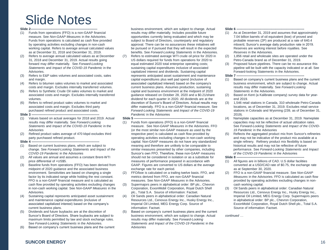## Slide Notes

#### **Slide 2--**

- (1) Funds from operations (FFO) is a non-GAAP financial measure. See *Non-GAAP Measures* in the Advisories. Funds from operations is calculated as cash flow provided by operating activities excluding changes in non-cash working capital. Refers to average annual calculated values as at December 31, 2018 and December 31, 2019.
- (2) Refers to average annual calculated values as at December 31, 2018 and December 31, 2019. Actual results going forward may differ materially. See *Forward-Looking Statements* and *Impact of the COVID-19 Pandemic* in the Advisories.
- (3) Refers to E&P sales volumes and associated costs, sales and margin.
- (4) Refers to bitumen sales volumes to market and associated costs and margin. Excludes internally transferred volumes.
- associated costs and margin. Excludes internally transferred (5) Refers to Synthetic Crude Oil sales volumes to market and volumes.
- (6) Refers to refined product sales volumes to market and associated costs and margin. Excludes third party purchased refined product and associated costs.

#### **Slide 3 --------------------------------------------------------------**

- (1) Values based on actual averages for 2018 and 2019. Actual results may differ materially. See *Forward-Looking Statements* and *Impact of the COVID-19 Pandemic* in the Advisories
- (2) Refined product sales average of 470 kbpd excludes third party purchased refined product.

#### **Slide 4 --------------------------------------------------------------**

- (1) Based on current business plans, which are subject to change. See *Forward-Looking Statements* and *Impact of the COVID-19 Pandemic* in the Advisories
- (2) All values are annual and assumes a constant Brent-WTI price differential of +US\$5.
- (3) Baseline funds from operations (FFO) has been derived from midpoint of 2020 guidance and the associated business environment. Sensitivities are based on changing a single factor by its indicated range while holding the rest constant. FFO is a non-GAAP financial measure and is calculated as cash flow provided by operating activities excluding changes in non-cash working capital. See *Non-GAAP Measures* in the Advisories.
- associated capitalized interest) based on the company's (4) Sustaining capital represents anticipated asset sustainment and maintenance capital expenditures (inclusive of current business plans.
- (5) Dividends and future buybacks are at the discretion of Suncor's Board of Directors. Share buybacks are subject to maximum limits permitted by law and stock exchange rules. Se*e Forward-Looking Statements* in the Advisories.
- (6) Based on company's current business plans and the current

 business environment, which are subject to change. Actual results may differ materially. Includes possible future opportunities currently being evaluated and which may be subject to Board of Directors, counterparty and regulatory approval. There can be no assurances these initiatives will be pursued or if pursued that they will result in the expected benefits. See *Forward-Looking Statements* in the Advisories.

 (7) Refers to estimated average WTI crude oil price for 2020 in US dollars required for funds from operations for 2020 to equal estimated 2020 total enterprise operating costs; represents anticipated asset sustainment and maintenance capital expenditures plus well pad spend (inclusive of associated capitalized interest) based on the company's capital and business environment at the midpoint of 2020 guidance released on October 28, 2020 and a \$0.21/share dividend for each quarter in 2020. All dividends are at the sustaining capital expenditures inclusive of associated capitalized interest and dividends. Sustaining capital current business plans. Assumes production, sustaining discretion of Suncor's Board of Directors. Actual results may differ materially. FFO is a non-GAAP financial measure. See *Forward-Looking Statements* and *Impact of the COVID-19 Pandemic* in the Advisories

#### **Slide 5 --------------------------------------------------------------**

- (1) Funds from operations (FFO) is a non-GAAP financial measure. See *Non-GAAP Measures* in the Advisories. FFO (or the most similar non-GAAP measure as used by the respective peer) is calculated as cash flow provided by operating activities excluding changes in non-cash working capital. Non-GAAP measures do not have any standardized meaning and therefore are unlikely to be comparable to similar measures presented by other companies, including Suncor's own FFO. Therefore, these non-GAAP measures should not be considered in isolation or as a substitute for measures of performance prepared in accordance with GAAP. Figures are converted to US dollars at the average exchange rate for each period.
- (2) FFO/boe is calculated on a trailing twelve basis. FFO, and metrics derived from FFO, are non-GAAP financial measures. See *Non-GAAP Measures* in the Advisories.
- plc., Total S.A. Source of information: Factset. (3) Supermajors peers in alphabetical order: BP plc., Chevron Corporation, ExxonMobil Corporation, Royal Dutch Shell
- Resources Ltd., Cenovus Energy Inc., Husky Energy Inc., (4) Oil Sands peers in alphabetical order: Canadian Natural Imperial Oil Limited, MEG Energy Corp. Source of information: Factset.
- (5) Based on company's current business plans and the current business environment, which are subject to change. Actual results may differ materially. See *Forward-Looking Statements and Impact of the COVID-19 Pandemic* in the Advisories

#### **Slide 6 --------------------------------------------------------------**

- (1) As at December 31, 2019 and assumes that approximately 7.04 billion barrels of oil equivalent (boe) of proved and probable reserves (2P) are produced at a rate of 640.4 mboe/d, Suncor's average daily production rate in 2019. Reserves are working interest before royalties. See *Reserves* in the Advisories.
- (2) 1,856 retail and wholesale sites are operated under the Petro-Canada brand as of December 31, 2019.
- (3) Proposed future pipelines. There can be no assurance this pipeline will be built with the capacity indicated or at all. See Forward-looking Statements in the Advisories.

#### **Slide 7 --------------------------------------------------------------**

- (1) Based on company's current business plans and the current business environment, which are subject to change. Actual results may differ materially. See *Forward-Looking Statements* in the Advisories.
- (2) Based on Kent (a Kalibrate company) survey data for yearend 2019.
- (3) 1,546 retail stations in Canada, 310 wholesale Petro-Canada stations in Colorado and Wyoming (239, as of December 31, locations, as of December 31, 2019. Excludes retail service 2019).
- capacities may not be reflective of actual utilization rates. (4) Nameplate capacities as at December 31, 2019. Nameplate See *Forward-Looking Statements* and *Impact of the COVID-19 Pandemic* in the Advisories
- (5) Reflects the aggregated product mix from Suncor's refineries and may not be indicative of the product mix available at a single refinery. Refinery product mix flexibility is based on historical results and may not be reflective of future performance. See *Forward-Looking Statements* and *Impact of the COVID-19 Pandemic* in the Advisories

#### **Slide 8 --------------------------------------------------------------**

- (1) All figures are in billions of CAD. U.S dollar facilities converted at a USD/CAD rate of \$0.75, the exchange rate as at September 30, 2020.
- *Measures* in the Advisories. FFO is calculated as cash flow provided by operating activities excluding changes in non- cash working capital. (2) FFO is a non-GAAP financial measure. See *Non-GAAP*
- (3) Oil Sands peers in alphabetical order: Canadian Natural Resources Ltd., Cenovus Energy Inc., Husky Energy Inc., Imperial Oil Limited, MEG Energy Corp. Supermajors peers in alphabetical order: BP plc., Chevron Corporation, ExxonMobil Corporation, Royal Dutch Shell plc., Total S.A. Source of information: Factset.

*continued …*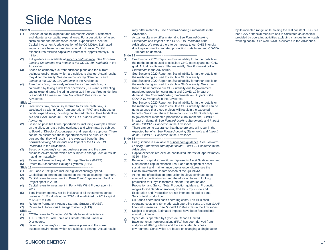## Slide Notes

- (1) Balance of capital expenditures represents Asset Sustainment and Maintenance capital expenditures. For a description of asset sustainment and maintenance capital expenditures see the Capital Investment Update section of the Q2 MD&A. Estimated impacts have been factored into annual guidance. Capital expenditures exclude capitalized interest of approximately \$120 million.
- (2) Full guidance is available at [suncor.com/guidance](http://www.suncor.com/guidance). See *Forward-*Looking Statements and Impact of the COVID-19 Pandemic in the **Advisories**
- (3) Based on company's current business plans and the current business environment, which are subject to change. Actual results may differ materially. See *Forward-Looking Statements* and *Impact of the COVID-19 Pandemic* in the Advisories.
- capital expenditures, including capitalized interest. Free funds flow (4) Free funds flow, previously referred to as free cash flow, is calculated by taking funds from operations (FFO) and subtracting is a non-GAAP measure. See *Non-GAAP Measures* in the Advisories.

#### **Slide 10 --**

- (1) Free funds flow, previously referred to as free cash flow, is calculated by taking funds from operations (FFO) and subtracting capital expenditures, including capitalized interest. Free funds flow is a non-GAAP measure. See *Non-GAAP Measures* in the Advisories.
- (2) Based on possible future opportunities, including examples shown on the slide, currently being evaluated and which may be subject to Board of Directors', counterparty and regulatory approval. There can be no assurance these opportunities will be pursued or if pursued that they will result in the expected benefits. See *Forward-Looking Statements* and *Impact of the COVID-19 Pandemic* in the Advisories.
- (3) Based on company's current business plans and the current business environment, which are subject to change. Actual results may differ materially.
- (4) Refers to Permanent Aquatic Storage Structure (PASS).
- (5) Refers to Autonomous Haulage Systems (AHS).

#### **Slide 11 --**

- (1) 2018 and 2019 figures include digital technology spend.
- (2) Capitalization percentage based on internal accounting treatment.
- (3) Capital refers to investment in Base Plant Cogeneration Facility Project spent in 2019.
- (4) Capital refers to investment in Forty Mile Wind Project spent in 2019.
- (5) Total investment may not be inclusive of all investments across business. 14% calculated as \$770 million divided by 2019 capital of \$5,436 million.
- (6) Refers to Permanent Aquatic Storage Structure (PASS).
- (7) Refers to Autonomous Haulage Systems (AHS).
- **Slide 12 ---**
	-
- (1) COSIA refers to Canadian Oil Sands Innovation Alliance. (2) TCFD refers to Task Force on Climate-related Financial
- Disclosures.
- (3) Based on company's current business plans and the current business environment, which are subject to change. Actual results

**Slide 9 --------------------------------------------------------------** may differ materially. See *Forward-Looking Statements* in the by its indicated range while holding the rest constant. FFO is a Advisories.

> (4) Actual results may differ materially. See *Forward-Looking Statements* and *Impact of the COVID-19 Pandemic* n the Advisories. We expect there to be impacts to our GHG intensity due to government mandated production curtailment and COVID-19 impact on demand.

#### **Slide 13 -**

- (1) See Suncor's 2020 Report on Sustainability for further details on the methodologies used to calculate GHG intensity and our GHG goal. Actual results may differ materially. See *Forward-Looking Statements* in the Advisories.
- (2) See Suncor's 2020 Report on Sustainability for further details on the methodologies used to calculate GHG intensity.
- mandated production curtailment and COVID-19 impact on (3) See Suncor's 2020 Report on Sustainability for further details on the methodologies used to calculate GHG intensity. We expect there to be impacts to our GHG intensity due to government demand. See *Forward-Looking Statements* and *Impact of the COVID-19 Pandemic* n the Advisories
- no assurance that these projects will result in the expected (4) See Suncor's 2020 Report on Sustainability for further details on the methodologies used to calculate GHG intensity There can be benefits. We expect there to be impacts to our GHG intensity due to government mandated production curtailment and COVID-19 impact on demand. See *Forward-Looking Statements* and *Impact of the COVID-19 Pandemic* in the Advisories.
- (5) There can be no assurance that these projects will result in the expected benefits. See *Forward-Looking Statements* and *Impact of the COVID-19 Pandemic* in the Advisories

#### **Slide 14**

- (1) Full guidance is available at [suncor.com/guidance.](http://www.suncor.com/guidance) See *Forward-*Looking Statements and Impact of the COVID-19 Pandemic in the Advisories
- (2) Capital expenditures exclude capitalized interest of approximately \$120 million.
- (3) Balance of capital expenditures represents Asset Sustainment and Maintenance capital expenditures. For a description of asset sustainment and maintenance capital expenditures see the Capital Investment Update section of the Q3 MD&A.
- Production and Suncor Total Production guidance. Production (4) At the time of publication, production in Libya continues to be affected by political unrest and therefore no forward looking production for Libya is factored into the Exploration and ranges for Oil Sands operations, Fort Hills, Syncrude and Exploration and Production are not intended to add to equal Suncor total production.
- (5) Oil Sands operations cash operating costs, Fort Hills cash operating costs and Syncrude cash operating costs are non-GAAP financial measures. See *Non-GAAP Measures* in the Advisories.
- (6) Subject to change. Estimated impacts have been factored into annual guidance.
- (7) Syncrude is operated by Syncrude Canada Limited.
- (8) Baseline funds from operations (FFO) has been derived from midpoint of 2020 guidance and the associated business environment. Sensitivities are based on changing a single factor

non-GAAP financial measure and is calculated as cash flow provided by operating activities excluding changes in non-cash working capital. See *Non-GAAP Measures* in the Advisories.

#### **SUNCOR ENERGY** 17